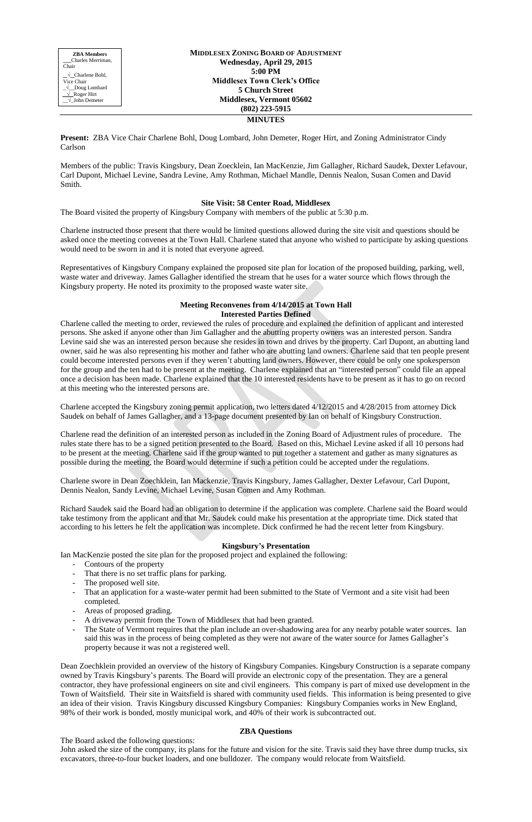**MIDDLESEX ZONING BOARD OF ADJUSTMENT Wednesday, April 29, 2015 5:00 PM Middlesex Town Clerk's Office 5 Church Street Middlesex, Vermont 05602 (802) 223-5915 MINUTES**

**Present:** ZBA Vice Chair Charlene Bohl, Doug Lombard, John Demeter, Roger Hirt, and Zoning Administrator Cindy Carlson

Members of the public: Travis Kingsbury, Dean Zoecklein, Ian MacKenzie, Jim Gallagher, Richard Saudek, Dexter Lefavour, Carl Dupont, Michael Levine, Sandra Levine, Amy Rothman, Michael Mandle, Dennis Nealon, Susan Comen and David Smith.

## **Site Visit: 58 Center Road, Middlesex**

The Board visited the property of Kingsbury Company with members of the public at 5:30 p.m.

Charlene instructed those present that there would be limited questions allowed during the site visit and questions should be asked once the meeting convenes at the Town Hall. Charlene stated that anyone who wished to participate by asking questions would need to be sworn in and it is noted that everyone agreed.

Representatives of Kingsbury Company explained the proposed site plan for location of the proposed building, parking, well, waste water and driveway. James Gallagher identified the stream that he uses for a water source which flows through the Kingsbury property. He noted its proximity to the proposed waste water site.

### **Meeting Reconvenes from 4/14/2015 at Town Hall Interested Parties Defined**

Charlene called the meeting to order, reviewed the rules of procedure and explained the definition of applicant and interested persons. She asked if anyone other than Jim Gallagher and the abutting property owners was an interested person. Sandra Levine said she was an interested person because she resides in town and drives by the property. Carl Dupont, an abutting land owner, said he was also representing his mother and father who are abutting land owners. Charlene said that ten people present could become interested persons even if they weren't abutting land owners. However, there could be only one spokesperson for the group and the ten had to be present at the meeting. Charlene explained that an "interested person" could file an appeal once a decision has been made. Charlene explained that the 10 interested residents have to be present as it has to go on record at this meeting who the interested persons are.

Charlene accepted the Kingsbury zoning permit application, two letters dated 4/12/2015 and 4/28/2015 from attorney Dick Saudek on behalf of James Gallagher, and a 13-page document presented by Ian on behalf of Kingsbury Construction.

Charlene read the definition of an interested person as included in the Zoning Board of Adjustment rules of procedure. The rules state there has to be a signed petition presented to the Board. Based on this, Michael Levine asked if all 10 persons had to be present at the meeting. Charlene said if the group wanted to put together a statement and gather as many signatures as possible during the meeting, the Board would determine if such a petition could be accepted under the regulations.

Charlene swore in Dean Zoechklein, Ian Mackenzie, Travis Kingsbury, James Gallagher, Dexter Lefavour, Carl Dupont, Dennis Nealon, Sandy Levine, Michael Levine, Susan Comen and Amy Rothman.

Richard Saudek said the Board had an obligation to determine if the application was complete. Charlene said the Board would take testimony from the applicant and that Mr. Saudek could make his presentation at the appropriate time. Dick stated that according to his letters he felt the application was incomplete. Dick confirmed he had the recent letter from Kingsbury.

### **Kingsbury's Presentation**

Ian MacKenzie posted the site plan for the proposed project and explained the following:

- Contours of the property
- That there is no set traffic plans for parking.
- The proposed well site.
- That an application for a waste-water permit had been submitted to the State of Vermont and a site visit had been completed.
- Areas of proposed grading.
- A driveway permit from the Town of Middlesex that had been granted.
- The State of Vermont requires that the plan include an over-shadowing area for any nearby potable water sources. Ian said this was in the process of being completed as they were not aware of the water source for James Gallagher's property because it was not a registered well.

Dean Zoechklein provided an overview of the history of Kingsbury Companies. Kingsbury Construction is a separate company owned by Travis Kingsbury's parents. The Board will provide an electronic copy of the presentation. They are a general contractor, they have professional engineers on site and civil engineers. This company is part of mixed use development in the Town of Waitsfield. Their site in Waitsfield is shared with community used fields. This information is being presented to give an idea of their vision. Travis Kingsbury discussed Kingsbury Companies: Kingsbury Companies works in New England, 98% of their work is bonded, mostly municipal work, and 40% of their work is subcontracted out.

# **ZBA Questions**

The Board asked the following questions:

John asked the size of the company, its plans for the future and vision for the site. Travis said they have three dump trucks, six excavators, three-to-four bucket loaders, and one bulldozer. The company would relocate from Waitsfield.

**ZBA Members \_\_\_**Charles Merriman, Chair \_√\_Charlene Bohl, Vice Chair \_√\_\_Doug Lombard √ Roger Hirt \_\_√\_John Demeter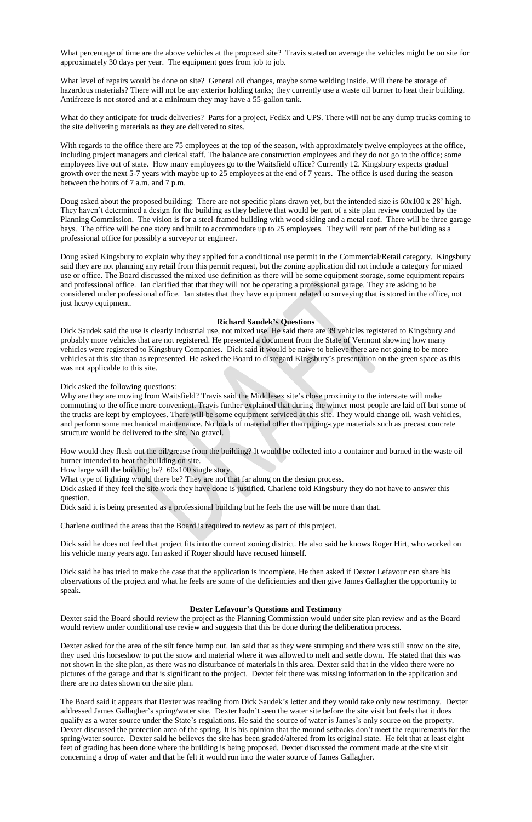What percentage of time are the above vehicles at the proposed site? Travis stated on average the vehicles might be on site for approximately 30 days per year. The equipment goes from job to job.

What level of repairs would be done on site? General oil changes, maybe some welding inside. Will there be storage of hazardous materials? There will not be any exterior holding tanks; they currently use a waste oil burner to heat their building. Antifreeze is not stored and at a minimum they may have a 55-gallon tank.

What do they anticipate for truck deliveries? Parts for a project, FedEx and UPS. There will not be any dump trucks coming to the site delivering materials as they are delivered to sites.

Doug asked about the proposed building: There are not specific plans drawn yet, but the intended size is  $60x100 \times 28'$  high. They haven't determined a design for the building as they believe that would be part of a site plan review conducted by the Planning Commission. The vision is for a steel-framed building with wood siding and a metal roof. There will be three garage bays. The office will be one story and built to accommodate up to 25 employees. They will rent part of the building as a professional office for possibly a surveyor or engineer.

With regards to the office there are 75 employees at the top of the season, with approximately twelve employees at the office, including project managers and clerical staff. The balance are construction employees and they do not go to the office; some employees live out of state. How many employees go to the Waitsfield office? Currently 12. Kingsbury expects gradual growth over the next 5-7 years with maybe up to 25 employees at the end of 7 years. The office is used during the season between the hours of 7 a.m. and 7 p.m.

Doug asked Kingsbury to explain why they applied for a conditional use permit in the Commercial/Retail category. Kingsbury said they are not planning any retail from this permit request, but the zoning application did not include a category for mixed use or office. The Board discussed the mixed use definition as there will be some equipment storage, some equipment repairs and professional office. Ian clarified that that they will not be operating a professional garage. They are asking to be considered under professional office. Ian states that they have equipment related to surveying that is stored in the office, not just heavy equipment.

### **Richard Saudek's Questions**

Dick Saudek said the use is clearly industrial use, not mixed use. He said there are 39 vehicles registered to Kingsbury and probably more vehicles that are not registered. He presented a document from the State of Vermont showing how many vehicles were registered to Kingsbury Companies. Dick said it would be naive to believe there are not going to be more vehicles at this site than as represented. He asked the Board to disregard Kingsbury's presentation on the green space as this was not applicable to this site.

Dick asked the following questions:

Why are they are moving from Waitsfield? Travis said the Middlesex site's close proximity to the interstate will make commuting to the office more convenient. Travis further explained that during the winter most people are laid off but some of the trucks are kept by employees. There will be some equipment serviced at this site. They would change oil, wash vehicles, and perform some mechanical maintenance. No loads of material other than piping-type materials such as precast concrete structure would be delivered to the site. No gravel.

How would they flush out the oil/grease from the building? It would be collected into a container and burned in the waste oil burner intended to heat the building on site.

How large will the building be? 60x100 single story.

What type of lighting would there be? They are not that far along on the design process.

Dick asked if they feel the site work they have done is justified. Charlene told Kingsbury they do not have to answer this question.

Dick said it is being presented as a professional building but he feels the use will be more than that.

Charlene outlined the areas that the Board is required to review as part of this project.

Dick said he does not feel that project fits into the current zoning district. He also said he knows Roger Hirt, who worked on his vehicle many years ago. Ian asked if Roger should have recused himself.

Dick said he has tried to make the case that the application is incomplete. He then asked if Dexter Lefavour can share his observations of the project and what he feels are some of the deficiencies and then give James Gallagher the opportunity to speak.

### **Dexter Lefavour's Questions and Testimony**

Dexter said the Board should review the project as the Planning Commission would under site plan review and as the Board would review under conditional use review and suggests that this be done during the deliberation process.

Dexter asked for the area of the silt fence bump out. Ian said that as they were stumping and there was still snow on the site, they used this horseshow to put the snow and material where it was allowed to melt and settle down. He stated that this was not shown in the site plan, as there was no disturbance of materials in this area. Dexter said that in the video there were no pictures of the garage and that is significant to the project. Dexter felt there was missing information in the application and there are no dates shown on the site plan.

The Board said it appears that Dexter was reading from Dick Saudek's letter and they would take only new testimony. Dexter addressed James Gallagher's spring/water site. Dexter hadn't seen the water site before the site visit but feels that it does qualify as a water source under the State's regulations. He said the source of water is James's only source on the property. Dexter discussed the protection area of the spring. It is his opinion that the mound setbacks don't meet the requirements for the spring/water source. Dexter said he believes the site has been graded/altered from its original state. He felt that at least eight feet of grading has been done where the building is being proposed. Dexter discussed the comment made at the site visit concerning a drop of water and that he felt it would run into the water source of James Gallagher.